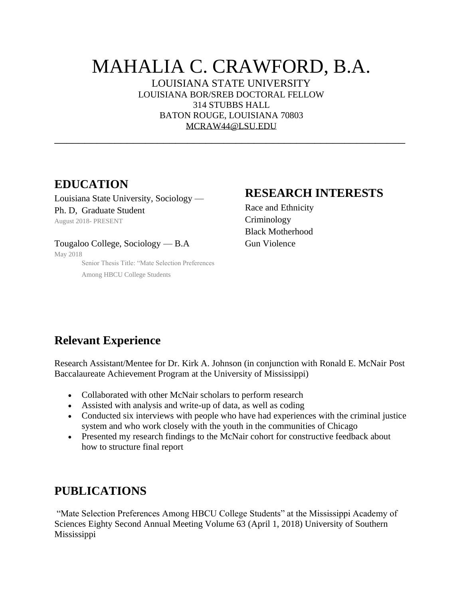# MAHALIA C. CRAWFORD, B.A.

LOUISIANA STATE UNIVERSITY LOUISIANA BOR/SREB DOCTORAL FELLOW 314 STUBBS HALL BATON ROUGE, LOUISIANA 70803 [MCRAW44@LSU.EDU](mailto:MCRAW44@LSU.EDU)

\_\_\_\_\_\_\_\_\_\_\_\_\_\_\_\_\_\_\_\_\_\_\_\_\_\_\_\_\_\_\_\_\_\_\_\_\_\_\_\_\_\_\_\_\_\_\_\_\_\_\_\_\_\_\_\_\_\_

## **EDUCATION**

Louisiana State University, Sociology — Ph. D, Graduate Student August 2018- PRESENT

#### Tougaloo College, Sociology — B.A

May 2018

Senior Thesis Title: "Mate Selection Preferences Among HBCU College Students

#### **RESEARCH INTERESTS**

Race and Ethnicity Criminology Black Motherhood Gun Violence

# **Relevant Experience**

Research Assistant/Mentee for Dr. Kirk A. Johnson (in conjunction with Ronald E. McNair Post Baccalaureate Achievement Program at the University of Mississippi)

- Collaborated with other McNair scholars to perform research
- Assisted with analysis and write-up of data, as well as coding
- Conducted six interviews with people who have had experiences with the criminal justice system and who work closely with the youth in the communities of Chicago
- Presented my research findings to the McNair cohort for constructive feedback about how to structure final report

## **PUBLICATIONS**

"Mate Selection Preferences Among HBCU College Students" at the Mississippi Academy of Sciences Eighty Second Annual Meeting Volume 63 (April 1, 2018) University of Southern Mississippi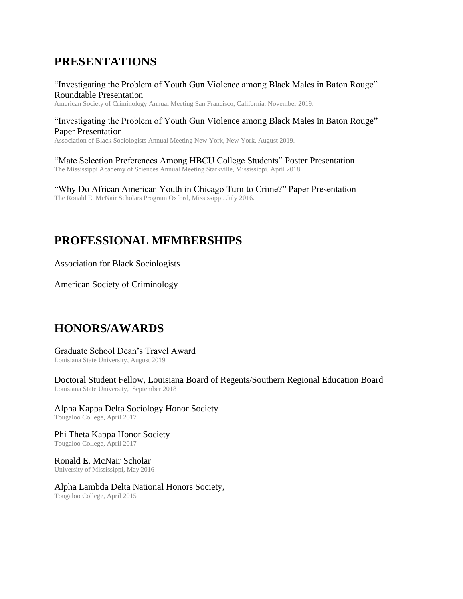## **PRESENTATIONS**

"Investigating the Problem of Youth Gun Violence among Black Males in Baton Rouge" Roundtable Presentation

American Society of Criminology Annual Meeting San Francisco, California. November 2019.

#### "Investigating the Problem of Youth Gun Violence among Black Males in Baton Rouge" Paper Presentation

Association of Black Sociologists Annual Meeting New York, New York. August 2019.

"Mate Selection Preferences Among HBCU College Students" Poster Presentation The Mississippi Academy of Sciences Annual Meeting Starkville, Mississippi. April 2018.

"Why Do African American Youth in Chicago Turn to Crime?" Paper Presentation The Ronald E. McNair Scholars Program Oxford, Mississippi. July 2016.

# **PROFESSIONAL MEMBERSHIPS**

Association for Black Sociologists

American Society of Criminology

## **HONORS/AWARDS**

#### Graduate School Dean's Travel Award

Louisiana State University, August 2019

Doctoral Student Fellow, Louisiana Board of Regents/Southern Regional Education Board Louisiana State University, September 2018

Alpha Kappa Delta Sociology Honor Society Tougaloo College, April 2017

Phi Theta Kappa Honor Society Tougaloo College, April 2017

Ronald E. McNair Scholar University of Mississippi, May 2016

Alpha Lambda Delta National Honors Society, Tougaloo College, April 2015